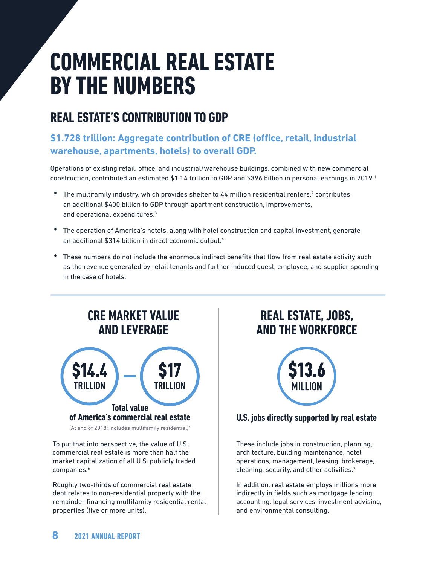# **COMMERCIAL REAL ESTATE BY THE NUMBERS**

## **REAL ESTATE'S CONTRIBUTION TO GDP**

### **\$1.728 trillion: Aggregate contribution of CRE (office, retail, industrial warehouse, apartments, hotels) to overall GDP.**

Operations of existing retail, office, and industrial/warehouse buildings, combined with new commercial construction, contributed an estimated \$1.14 trillion to GDP and \$396 billion in personal earnings in 2019.1

- The multifamily industry, which provides shelter to 44 million residential renters,<sup>2</sup> contributes an additional \$400 billion to GDP through apartment construction, improvements, and operational expenditures.3
- The operation of America's hotels, along with hotel construction and capital investment, generate an additional \$314 billion in direct economic output.<sup>4</sup>
- These numbers do not include the enormous indirect benefits that flow from real estate activity such as the revenue generated by retail tenants and further induced guest, employee, and supplier spending in the case of hotels.



(At end of 2018; Includes multifamily residential)<sup>5</sup>

To put that into perspective, the value of U.S. commercial real estate is more than half the market capitalization of all U.S. publicly traded companies.<sup>6</sup>

Roughly two-thirds of commercial real estate debt relates to non-residential property with the remainder financing multifamily residential rental properties (five or more units).

## **REAL ESTATE, JOBS, AND THE WORKFORCE**



#### **U.S. jobs directly supported by real estate**

These include jobs in construction, planning, architecture, building maintenance, hotel operations, management, leasing, brokerage, cleaning, security, and other activities.7

In addition, real estate employs millions more indirectly in fields such as mortgage lending, accounting, legal services, investment advising, and environmental consulting.